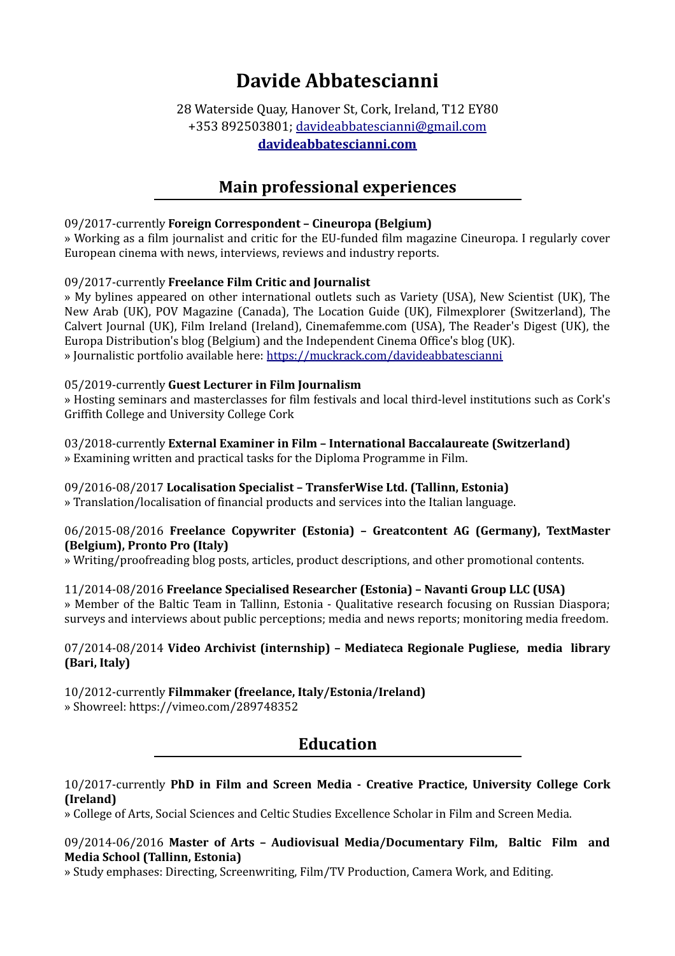# **Davide Abbatescianni**

### 28 Waterside Quay, Hanover St, Cork, Ireland, T12 EY80 +353 892503801; [davideabbatescianni@gmail.com](mailto:davideabbatescianni@gmail.com) **[davideabbatescianni.com](https://davideabbatescianni.com/)**

## **Main professional experiences**

#### 09/2017-currently **Foreign Correspondent – Cineuropa (Belgium)**

» Working as a film journalist and critic for the EU-funded film magazine Cineuropa. I regularly cover European cinema with news, interviews, reviews and industry reports.

#### 09/2017-currently **Freelance Film Critic and Journalist**

» My bylines appeared on other international outlets such as Variety (USA), New Scientist (UK), The New Arab (UK), POV Magazine (Canada), The Location Guide (UK), Filmexplorer (Switzerland), The Calvert Journal (UK), Film Ireland (Ireland), Cinemafemme.com (USA), The Reader's Digest (UK), the Europa Distribution's blog (Belgium) and the Independent Cinema Office's blog (UK). » Journalistic portfolio available here: <https://muckrack.com/davideabbatescianni>

#### 05/2019-currently **Guest Lecturer in Film Journalism**

» Hosting seminars and masterclasses for film festivals and local third-level institutions such as Cork's Griffith College and University College Cork

#### 03/2018-currently **External Examiner in Film – International Baccalaureate (Switzerland)** » Examining written and practical tasks for the Diploma Programme in Film.

### 09/2016-08/2017 **Localisation Specialist – TransferWise Ltd. (Tallinn, Estonia)**

» Translation/localisation of financial products and services into the Italian language.

#### 06/2015-08/2016 **Freelance Copywriter (Estonia) – Greatcontent AG (Germany), TextMaster (Belgium), Pronto Pro (Italy)**

» Writing/proofreading blog posts, articles, product descriptions, and other promotional contents.

#### 11/2014-08/2016 **Freelance Specialised Researcher (Estonia) – Navanti Group LLC (USA)**

» Member of the Baltic Team in Tallinn, Estonia - Qualitative research focusing on Russian Diaspora; surveys and interviews about public perceptions; media and news reports; monitoring media freedom.

#### 07/2014-08/2014 **Video Archivist (internship) – Mediateca Regionale Pugliese, media library (Bari, Italy)**

10/2012-currently **Filmmaker (freelance, Italy/Estonia/Ireland)** » Showreel: https://vimeo.com/289748352

### **Education**

#### 10/2017-currently **PhD in Film and Screen Media - Creative Practice, University College Cork (Ireland)**

» College of Arts, Social Sciences and Celtic Studies Excellence Scholar in Film and Screen Media.

#### 09/2014-06/2016 **Master of Arts – Audiovisual Media/Documentary Film, Baltic Film and Media School (Tallinn, Estonia)**

» Study emphases: Directing, Screenwriting, Film/TV Production, Camera Work, and Editing.